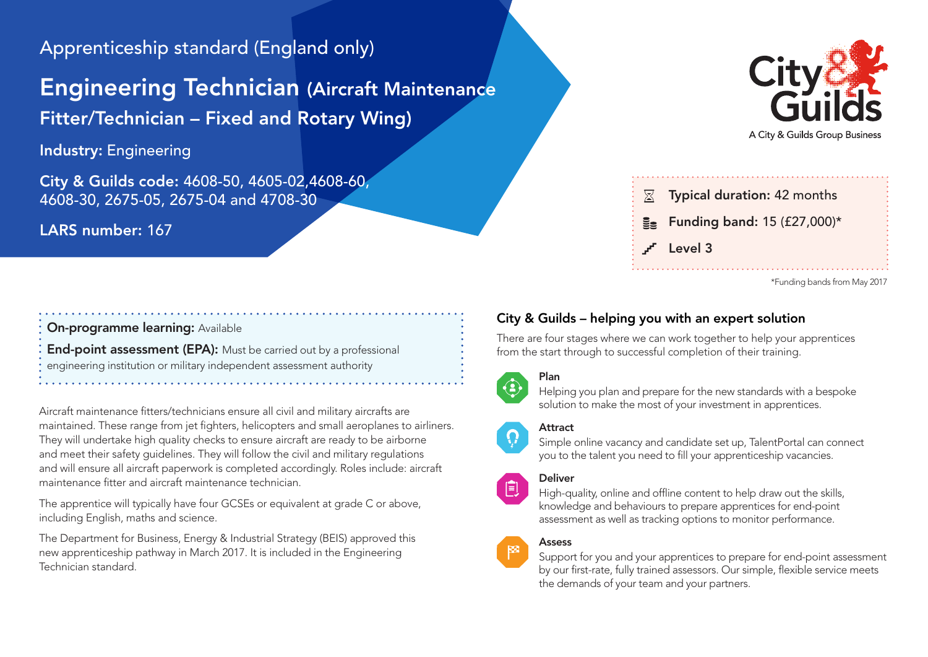# Apprenticeship standard (England only)

# Engineering Technician (Aircraft Maintenance

Fitter/Technician – Fixed and Rotary Wing)

Industry: Engineering

City & Guilds code: 4608-50, 4605-02,4608-60, 4608-30, 2675-05, 2675-04 and 4708-30

# LARS number: 167

# A City & Guilds Group Business



```
*Funding bands from May 2017
```
# On-programme learning: Available

End-point assessment (EPA): Must be carried out by a professional engineering institution or military independent assessment authority

Aircraft maintenance fitters/technicians ensure all civil and military aircrafts are maintained. These range from jet fighters, helicopters and small aeroplanes to airliners. They will undertake high quality checks to ensure aircraft are ready to be airborne and meet their safety guidelines. They will follow the civil and military regulations and will ensure all aircraft paperwork is completed accordingly. Roles include: aircraft maintenance fitter and aircraft maintenance technician.

The apprentice will typically have four GCSEs or equivalent at grade C or above, including English, maths and science.

The Department for Business, Energy & Industrial Strategy (BEIS) approved this new apprenticeship pathway in March 2017. It is included in the Engineering Technician standard.

# City & Guilds – helping you with an expert solution

There are four stages where we can work together to help your apprentices from the start through to successful completion of their training.



# Plan

Helping you plan and prepare for the new standards with a bespoke solution to make the most of your investment in apprentices.

# **Attract**

Simple online vacancy and candidate set up, TalentPortal can connect you to the talent you need to fill your apprenticeship vacancies.

#### Deliver



 $\mathbb{R}^2$ 

High-quality, online and offline content to help draw out the skills, knowledge and behaviours to prepare apprentices for end-point assessment as well as tracking options to monitor performance.

# Assess

Support for you and your apprentices to prepare for end-point assessment by our first-rate, fully trained assessors. Our simple, flexible service meets the demands of your team and your partners.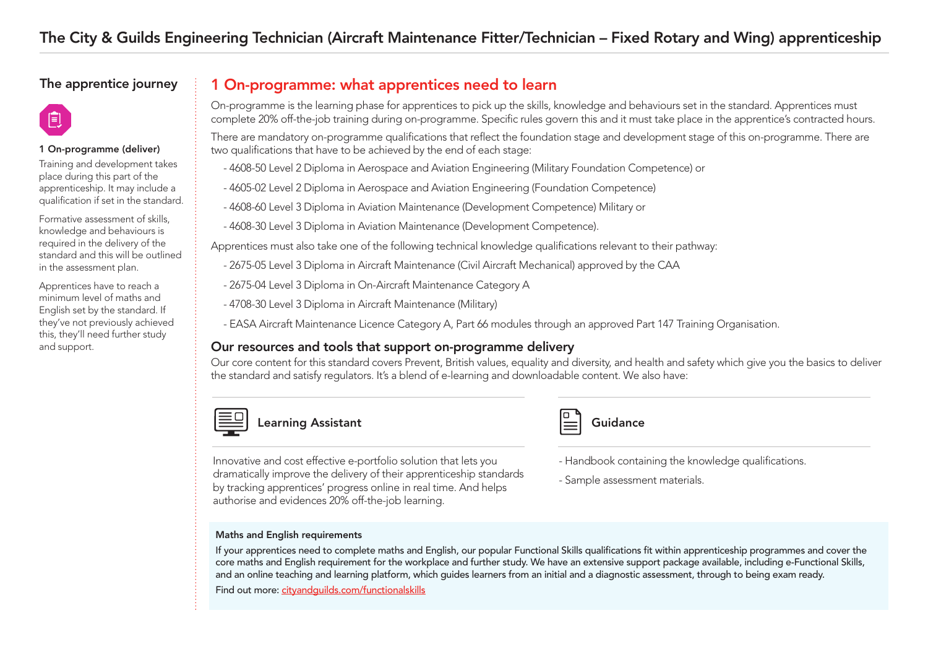# The apprentice journey

# 倌

#### 1 On-programme (deliver)

Training and development takes place during this part of the apprenticeship. It may include a qualification if set in the standard.

Formative assessment of skills, knowledge and behaviours is required in the delivery of the standard and this will be outlined in the assessment plan.

Apprentices have to reach a minimum level of maths and English set by the standard. If they've not previously achieved this, they'll need further study and support.

# 1 On-programme: what apprentices need to learn

On-programme is the learning phase for apprentices to pick up the skills, knowledge and behaviours set in the standard. Apprentices must complete 20% off-the-job training during on-programme. Specific rules govern this and it must take place in the apprentice's contracted hours.

There are mandatory on-programme qualifications that reflect the foundation stage and development stage of this on-programme. There are two qualifications that have to be achieved by the end of each stage:

- 4608-50 Level 2 Diploma in Aerospace and Aviation Engineering (Military Foundation Competence) or
- 4605-02 Level 2 Diploma in Aerospace and Aviation Engineering (Foundation Competence)
- 4608-60 Level 3 Diploma in Aviation Maintenance (Development Competence) Military or
- 4608-30 Level 3 Diploma in Aviation Maintenance (Development Competence).

Apprentices must also take one of the following technical knowledge qualifications relevant to their pathway:

- 2675-05 Level 3 Diploma in Aircraft Maintenance (Civil Aircraft Mechanical) approved by the CAA
- 2675-04 Level 3 Diploma in On-Aircraft Maintenance Category A
- 4708-30 Level 3 Diploma in Aircraft Maintenance (Military)
- EASA Aircraft Maintenance Licence Category A, Part 66 modules through an approved Part 147 Training Organisation.

## Our resources and tools that support on-programme delivery

Our core content for this standard covers Prevent, British values, equality and diversity, and health and safety which give you the basics to deliver the standard and satisfy regulators. It's a blend of e-learning and downloadable content. We also have:



Learning Assistant Guidance

Innovative and cost effective e-portfolio solution that lets you dramatically improve the delivery of their apprenticeship standards by tracking apprentices' progress online in real time. And helps authorise and evidences 20% off-the-job learning.

#### Maths and English requirements

If your apprentices need to complete maths and English, our popular Functional Skills qualifications fit within apprenticeship programmes and cover the core maths and English requirement for the workplace and further study. We have an extensive support package available, including e-Functional Skills, and an online teaching and learning platform, which guides learners from an initial and a diagnostic assessment, through to being exam ready. Find out mor[e: cityandguilds.com/functionalskills](www.cityandguilds.com/functionalskills)

- Handbook containing the knowledge qualifications.
- Sample assessment materials.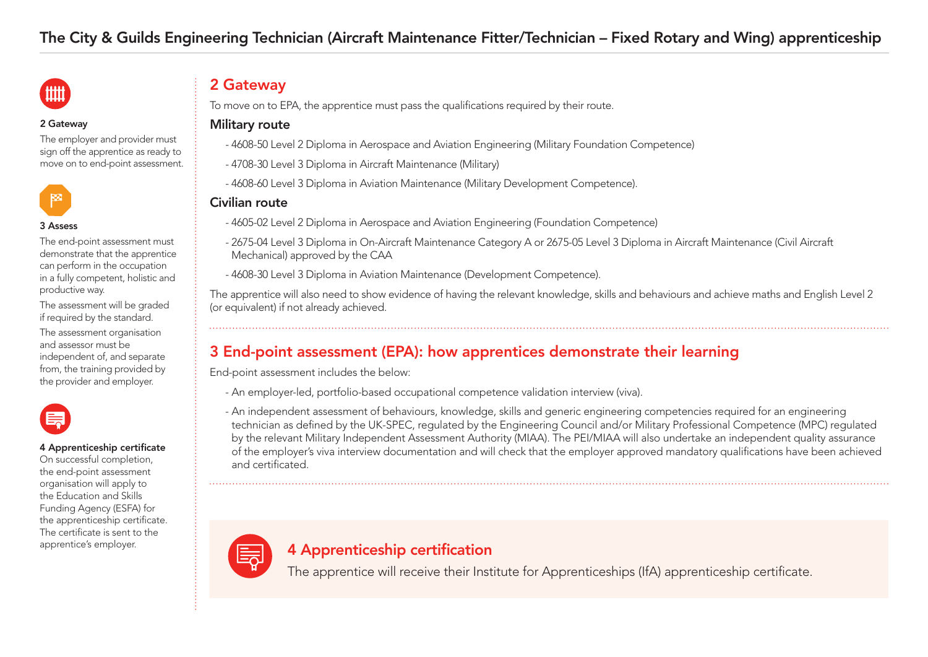

#### 2 Gateway

The employer and provider must sign off the apprentice as ready to move on to end-point assessment.



#### 3 Assess

The end-point assessment must demonstrate that the apprentice can perform in the occupation in a fully competent, holistic and productive way.

The assessment will be graded if required by the standard.

The assessment organisation and assessor must be independent of, and separate from, the training provided by the provider and employer.



#### 4 Apprenticeship certificate

On successful completion, the end-point assessment organisation will apply to the Education and Skills Funding Agency (ESFA) for the apprenticeship certificate. The certificate is sent to the apprentice's employer.

# 2 Gateway

To move on to EPA, the apprentice must pass the qualifications required by their route.

#### Military route

- 4608-50 Level 2 Diploma in Aerospace and Aviation Engineering (Military Foundation Competence)
- 4708-30 Level 3 Diploma in Aircraft Maintenance (Military)
- 4608-60 Level 3 Diploma in Aviation Maintenance (Military Development Competence).

# Civilian route

- 4605-02 Level 2 Diploma in Aerospace and Aviation Engineering (Foundation Competence)
- 2675-04 Level 3 Diploma in On-Aircraft Maintenance Category A or 2675-05 Level 3 Diploma in Aircraft Maintenance (Civil Aircraft Mechanical) approved by the CAA
- 4608-30 Level 3 Diploma in Aviation Maintenance (Development Competence).

The apprentice will also need to show evidence of having the relevant knowledge, skills and behaviours and achieve maths and English Level 2 (or equivalent) if not already achieved.

# 3 End-point assessment (EPA): how apprentices demonstrate their learning

End-point assessment includes the below:

- An employer-led, portfolio-based occupational competence validation interview (viva).
- An independent assessment of behaviours, knowledge, skills and generic engineering competencies required for an engineering technician as defined by the UK-SPEC, regulated by the Engineering Council and/or Military Professional Competence (MPC) regulated by the relevant Military Independent Assessment Authority (MIAA). The PEI/MIAA will also undertake an independent quality assurance of the employer's viva interview documentation and will check that the employer approved mandatory qualifications have been achieved and certificated.



# 4 Apprenticeship certification

The apprentice will receive their Institute for Apprenticeships (IfA) apprenticeship certificate.